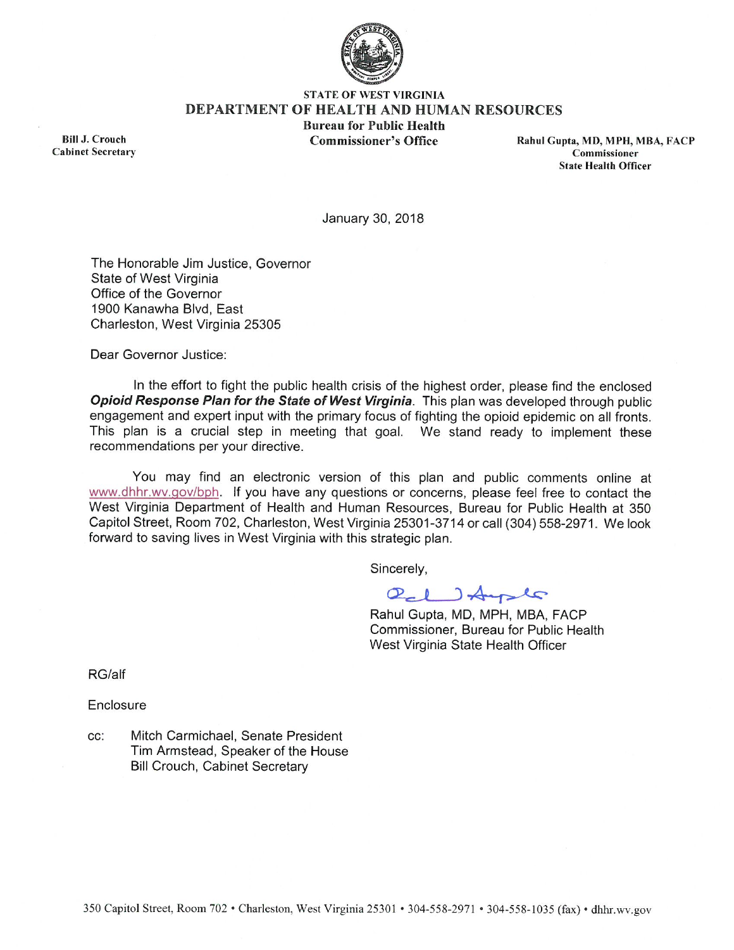

#### **STATE OF WEST VIRGINIA DEPARTMENT OF HEALTH AND HUMAN RESOURCES Bureau for Public Health Commissioner's Office**

**Bill J. Crouch Cabinet Secretary**  Rahul Gupta, MD, MPH, MBA, FACP Commissioner **State Health Officer** 

January 30, 2018

The Honorable Jim Justice, Governor State of West Virginia Office of the Governor 1900 Kanawha Blvd, East Charleston, West Virginia 25305

Dear Governor Justice:

In the effort to fight the public health crisis of the highest order, please find the enclosed Opioid Response Plan for the State of West Virginia. This plan was developed through public engagement and expert input with the primary focus of fighting the opioid epidemic on all fronts. This plan is a crucial step in meeting that goal. We stand ready to implement these recommendations per your directive.

You may find an electronic version of this plan and public comments online at www.dhhr.wv.gov/bph. If you have any questions or concerns, please feel free to contact the West Virginia Department of Health and Human Resources, Bureau for Public Health at 350 Capitol Street, Room 702, Charleston, West Virginia 25301-3714 or call (304) 558-2971. We look forward to saving lives in West Virginia with this strategic plan.

Sincerely,

Ol ) Auster

Rahul Gupta, MD, MPH, MBA, FACP Commissioner, Bureau for Public Health West Virginia State Health Officer

RG/alf

Enclosure

Mitch Carmichael, Senate President CC: Tim Armstead, Speaker of the House **Bill Crouch, Cabinet Secretary**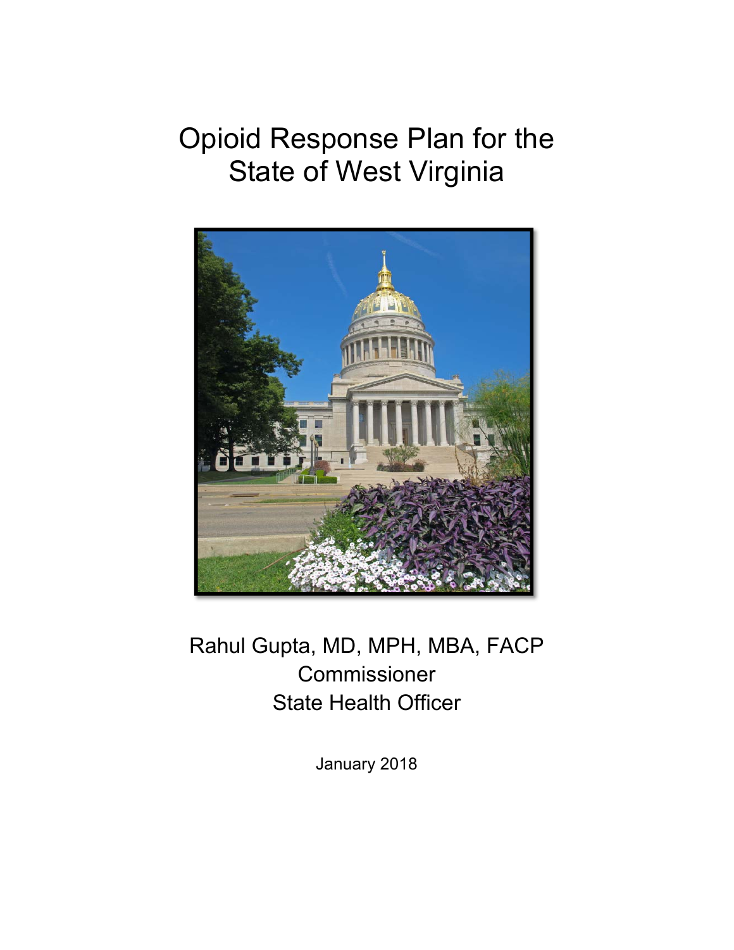# Opioid Response Plan for the State of West Virginia



Rahul Gupta, MD, MPH, MBA, FACP Commissioner State Health Officer

January 2018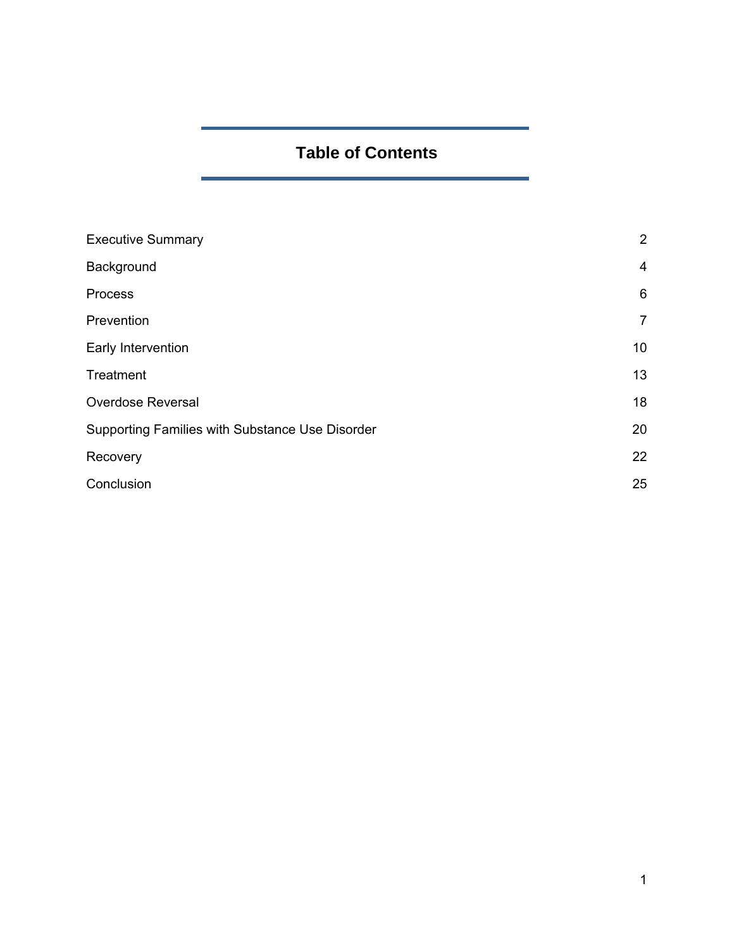# **Table of Contents**

| <b>Executive Summary</b>                        | 2              |
|-------------------------------------------------|----------------|
| Background                                      | $\overline{4}$ |
| Process                                         | 6              |
| Prevention                                      | $\overline{7}$ |
| Early Intervention                              | 10             |
| Treatment                                       | 13             |
| <b>Overdose Reversal</b>                        | 18             |
| Supporting Families with Substance Use Disorder |                |
| Recovery                                        | 22             |
| Conclusion                                      |                |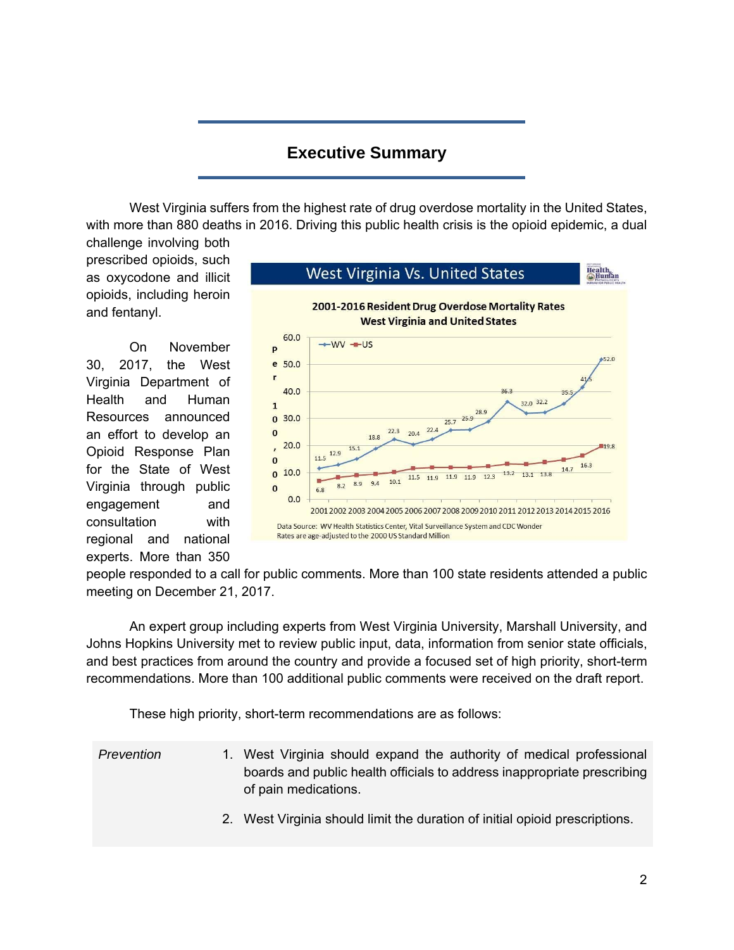## **Executive Summary**

West Virginia suffers from the highest rate of drug overdose mortality in the United States, with more than 880 deaths in 2016. Driving this public health crisis is the opioid epidemic, a dual

challenge involving both prescribed opioids, such as oxycodone and illicit opioids, including heroin and fentanyl.

On November 30, 2017, the West Virginia Department of Health and Human Resources announced an effort to develop an Opioid Response Plan for the State of West Virginia through public engagement and consultation with regional and national experts. More than 350



people responded to a call for public comments. More than 100 state residents attended a public meeting on December 21, 2017.

An expert group including experts from West Virginia University, Marshall University, and Johns Hopkins University met to review public input, data, information from senior state officials, and best practices from around the country and provide a focused set of high priority, short-term recommendations. More than 100 additional public comments were received on the draft report.

These high priority, short-term recommendations are as follows:

- *Prevention* 1. West Virginia should expand the authority of medical professional boards and public health officials to address inappropriate prescribing of pain medications.
	- 2. West Virginia should limit the duration of initial opioid prescriptions.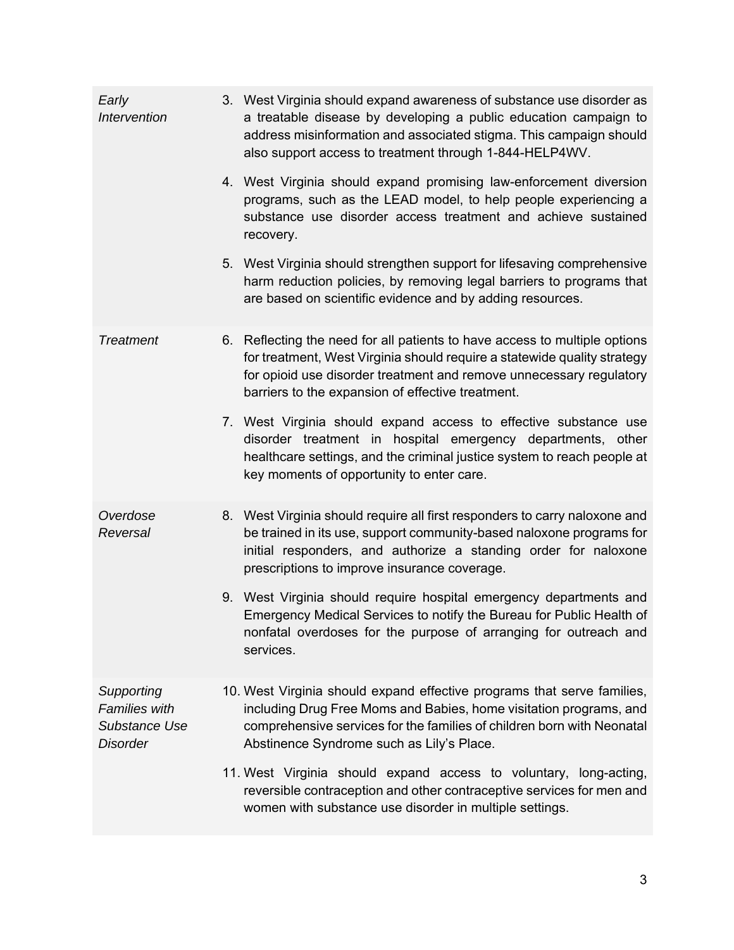| Early<br>Intervention                                                  | 3. West Virginia should expand awareness of substance use disorder as<br>a treatable disease by developing a public education campaign to<br>address misinformation and associated stigma. This campaign should<br>also support access to treatment through 1-844-HELP4WV.         |
|------------------------------------------------------------------------|------------------------------------------------------------------------------------------------------------------------------------------------------------------------------------------------------------------------------------------------------------------------------------|
|                                                                        | 4. West Virginia should expand promising law-enforcement diversion<br>programs, such as the LEAD model, to help people experiencing a<br>substance use disorder access treatment and achieve sustained<br>recovery.                                                                |
|                                                                        | 5. West Virginia should strengthen support for lifesaving comprehensive<br>harm reduction policies, by removing legal barriers to programs that<br>are based on scientific evidence and by adding resources.                                                                       |
| <b>Treatment</b>                                                       | 6. Reflecting the need for all patients to have access to multiple options<br>for treatment, West Virginia should require a statewide quality strategy<br>for opioid use disorder treatment and remove unnecessary regulatory<br>barriers to the expansion of effective treatment. |
|                                                                        | 7. West Virginia should expand access to effective substance use<br>disorder treatment in hospital emergency departments, other<br>healthcare settings, and the criminal justice system to reach people at<br>key moments of opportunity to enter care.                            |
| Overdose<br>Reversal                                                   | 8. West Virginia should require all first responders to carry naloxone and<br>be trained in its use, support community-based naloxone programs for<br>initial responders, and authorize a standing order for naloxone<br>prescriptions to improve insurance coverage.              |
|                                                                        | 9. West Virginia should require hospital emergency departments and<br>Emergency Medical Services to notify the Bureau for Public Health of<br>nonfatal overdoses for the purpose of arranging for outreach and<br>services.                                                        |
| Supporting<br><b>Families with</b><br>Substance Use<br><b>Disorder</b> | 10. West Virginia should expand effective programs that serve families,<br>including Drug Free Moms and Babies, home visitation programs, and<br>comprehensive services for the families of children born with Neonatal<br>Abstinence Syndrome such as Lily's Place.               |
|                                                                        | 11. West Virginia should expand access to voluntary, long-acting,<br>reversible contraception and other contraceptive services for men and<br>women with substance use disorder in multiple settings.                                                                              |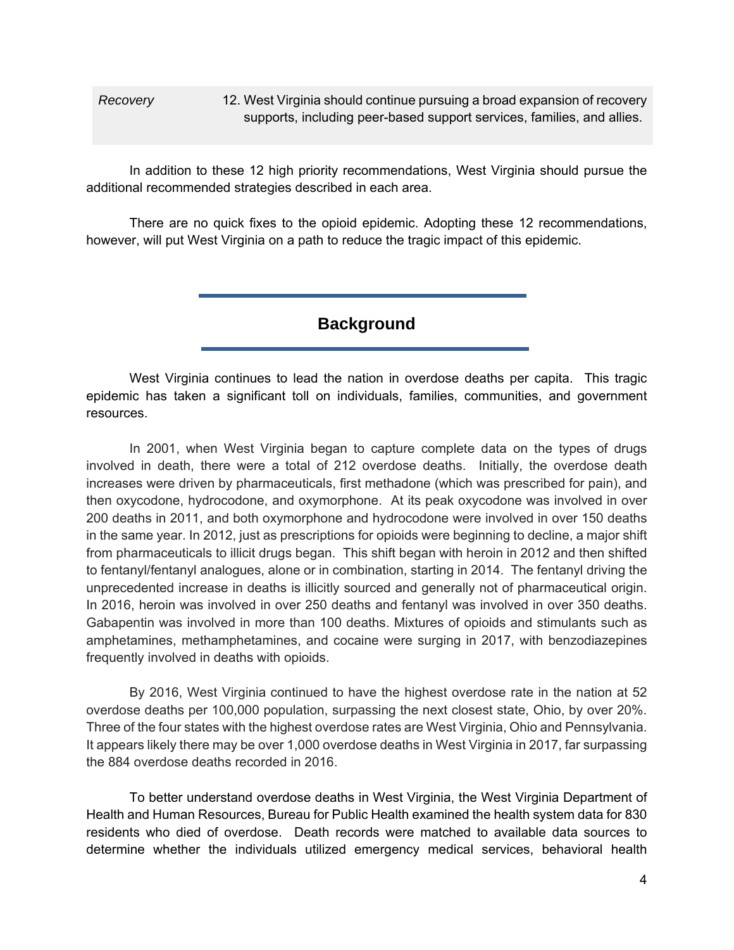*Recovery* 12. West Virginia should continue pursuing a broad expansion of recovery supports, including peer-based support services, families, and allies.

In addition to these 12 high priority recommendations, West Virginia should pursue the additional recommended strategies described in each area.

There are no quick fixes to the opioid epidemic. Adopting these 12 recommendations, however, will put West Virginia on a path to reduce the tragic impact of this epidemic.

**Background**

West Virginia continues to lead the nation in overdose deaths per capita. This tragic epidemic has taken a significant toll on individuals, families, communities, and government resources.

In 2001, when West Virginia began to capture complete data on the types of drugs involved in death, there were a total of 212 overdose deaths. Initially, the overdose death increases were driven by pharmaceuticals, first methadone (which was prescribed for pain), and then oxycodone, hydrocodone, and oxymorphone. At its peak oxycodone was involved in over 200 deaths in 2011, and both oxymorphone and hydrocodone were involved in over 150 deaths in the same year. In 2012, just as prescriptions for opioids were beginning to decline, a major shift from pharmaceuticals to illicit drugs began. This shift began with heroin in 2012 and then shifted to fentanyl/fentanyl analogues, alone or in combination, starting in 2014. The fentanyl driving the unprecedented increase in deaths is illicitly sourced and generally not of pharmaceutical origin. In 2016, heroin was involved in over 250 deaths and fentanyl was involved in over 350 deaths. Gabapentin was involved in more than 100 deaths. Mixtures of opioids and stimulants such as amphetamines, methamphetamines, and cocaine were surging in 2017, with benzodiazepines frequently involved in deaths with opioids.

By 2016, West Virginia continued to have the highest overdose rate in the nation at 52 overdose deaths per 100,000 population, surpassing the next closest state, Ohio, by over 20%. Three of the four states with the highest overdose rates are West Virginia, Ohio and Pennsylvania. It appears likely there may be over 1,000 overdose deaths in West Virginia in 2017, far surpassing the 884 overdose deaths recorded in 2016.

To better understand overdose deaths in West Virginia, the West Virginia Department of Health and Human Resources, Bureau for Public Health examined the health system data for 830 residents who died of overdose. Death records were matched to available data sources to determine whether the individuals utilized emergency medical services, behavioral health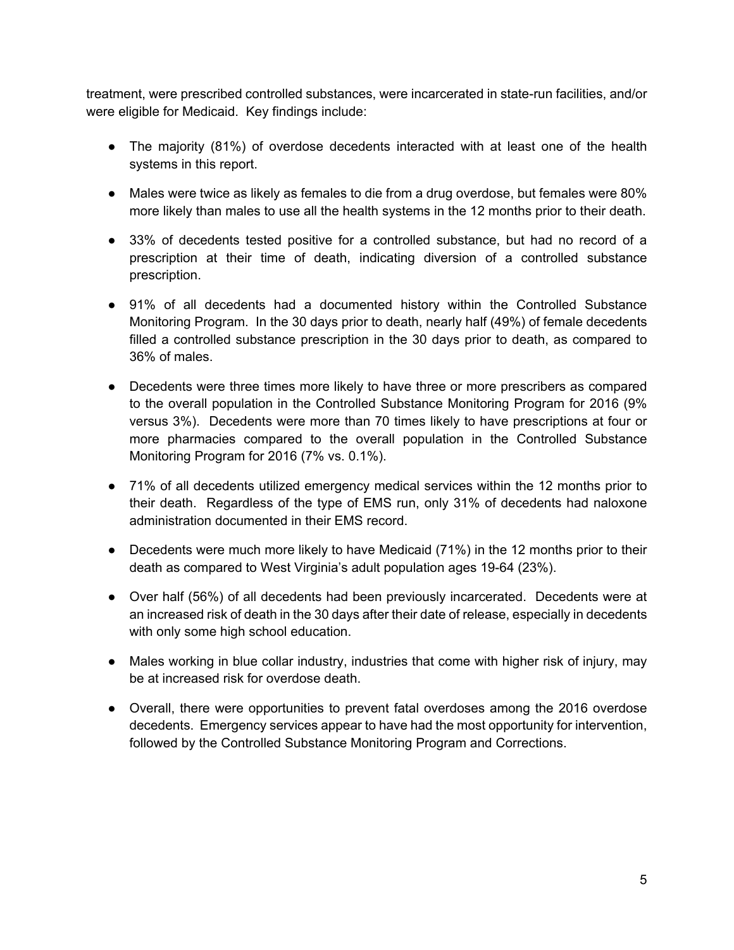treatment, were prescribed controlled substances, were incarcerated in state-run facilities, and/or were eligible for Medicaid. Key findings include:

- The majority (81%) of overdose decedents interacted with at least one of the health systems in this report.
- Males were twice as likely as females to die from a drug overdose, but females were 80% more likely than males to use all the health systems in the 12 months prior to their death.
- 33% of decedents tested positive for a controlled substance, but had no record of a prescription at their time of death, indicating diversion of a controlled substance prescription.
- 91% of all decedents had a documented history within the Controlled Substance Monitoring Program. In the 30 days prior to death, nearly half (49%) of female decedents filled a controlled substance prescription in the 30 days prior to death, as compared to 36% of males.
- Decedents were three times more likely to have three or more prescribers as compared to the overall population in the Controlled Substance Monitoring Program for 2016 (9% versus 3%). Decedents were more than 70 times likely to have prescriptions at four or more pharmacies compared to the overall population in the Controlled Substance Monitoring Program for 2016 (7% vs. 0.1%).
- 71% of all decedents utilized emergency medical services within the 12 months prior to their death. Regardless of the type of EMS run, only 31% of decedents had naloxone administration documented in their EMS record.
- Decedents were much more likely to have Medicaid (71%) in the 12 months prior to their death as compared to West Virginia's adult population ages 19-64 (23%).
- Over half (56%) of all decedents had been previously incarcerated. Decedents were at an increased risk of death in the 30 days after their date of release, especially in decedents with only some high school education.
- Males working in blue collar industry, industries that come with higher risk of injury, may be at increased risk for overdose death.
- Overall, there were opportunities to prevent fatal overdoses among the 2016 overdose decedents. Emergency services appear to have had the most opportunity for intervention, followed by the Controlled Substance Monitoring Program and Corrections.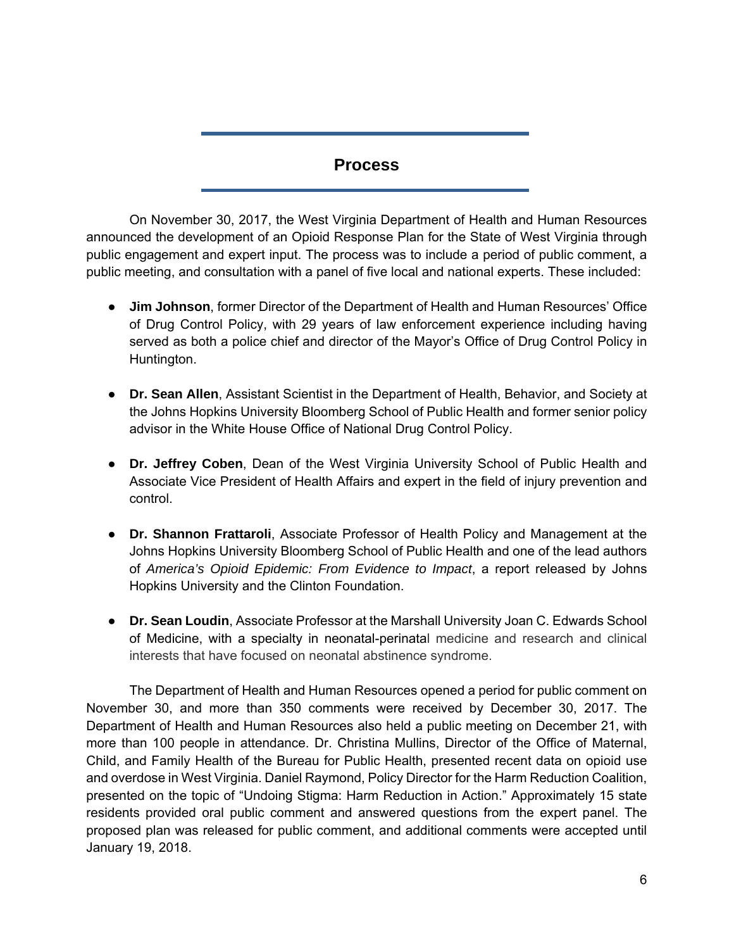## **Process**

On November 30, 2017, the West Virginia Department of Health and Human Resources announced the development of an Opioid Response Plan for the State of West Virginia through public engagement and expert input. The process was to include a period of public comment, a public meeting, and consultation with a panel of five local and national experts. These included:

- **Jim Johnson**, former Director of the Department of Health and Human Resources' Office of Drug Control Policy, with 29 years of law enforcement experience including having served as both a police chief and director of the Mayor's Office of Drug Control Policy in Huntington.
- **Dr. Sean Allen**, Assistant Scientist in the Department of Health, Behavior, and Society at the Johns Hopkins University Bloomberg School of Public Health and former senior policy advisor in the White House Office of National Drug Control Policy.
- **Dr. Jeffrey Coben**, Dean of the West Virginia University School of Public Health and Associate Vice President of Health Affairs and expert in the field of injury prevention and control.
- **Dr. Shannon Frattaroli**, Associate Professor of Health Policy and Management at the Johns Hopkins University Bloomberg School of Public Health and one of the lead authors of *America's Opioid Epidemic: From Evidence to Impact*, a report released by Johns Hopkins University and the Clinton Foundation.
- **Dr. Sean Loudin**, Associate Professor at the Marshall University Joan C. Edwards School of Medicine, with a specialty in neonatal-perinatal medicine and research and clinical interests that have focused on neonatal abstinence syndrome.

The Department of Health and Human Resources opened a period for public comment on November 30, and more than 350 comments were received by December 30, 2017. The Department of Health and Human Resources also held a public meeting on December 21, with more than 100 people in attendance. Dr. Christina Mullins, Director of the Office of Maternal, Child, and Family Health of the Bureau for Public Health, presented recent data on opioid use and overdose in West Virginia. Daniel Raymond, Policy Director for the Harm Reduction Coalition, presented on the topic of "Undoing Stigma: Harm Reduction in Action." Approximately 15 state residents provided oral public comment and answered questions from the expert panel. The proposed plan was released for public comment, and additional comments were accepted until January 19, 2018.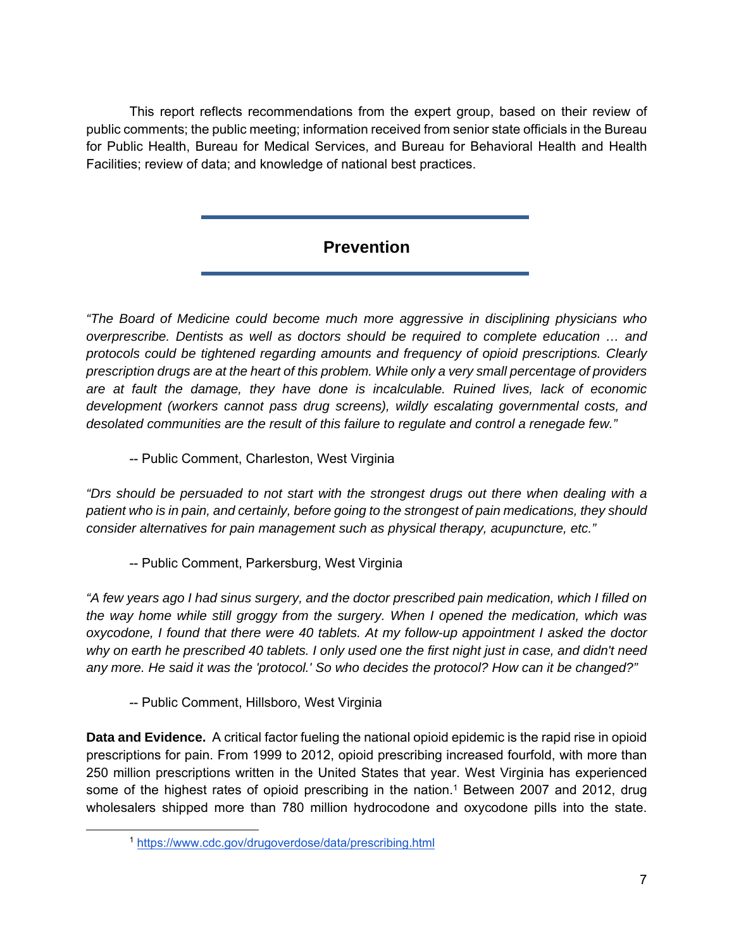This report reflects recommendations from the expert group, based on their review of public comments; the public meeting; information received from senior state officials in the Bureau for Public Health, Bureau for Medical Services, and Bureau for Behavioral Health and Health Facilities; review of data; and knowledge of national best practices.

## **Prevention**

*"The Board of Medicine could become much more aggressive in disciplining physicians who overprescribe. Dentists as well as doctors should be required to complete education … and protocols could be tightened regarding amounts and frequency of opioid prescriptions. Clearly prescription drugs are at the heart of this problem. While only a very small percentage of providers are at fault the damage, they have done is incalculable. Ruined lives, lack of economic development (workers cannot pass drug screens), wildly escalating governmental costs, and desolated communities are the result of this failure to regulate and control a renegade few."*

-- Public Comment, Charleston, West Virginia

*"Drs should be persuaded to not start with the strongest drugs out there when dealing with a patient who is in pain, and certainly, before going to the strongest of pain medications, they should consider alternatives for pain management such as physical therapy, acupuncture, etc."* 

-- Public Comment, Parkersburg, West Virginia

*"A few years ago I had sinus surgery, and the doctor prescribed pain medication, which I filled on the way home while still groggy from the surgery. When I opened the medication, which was oxycodone, I found that there were 40 tablets. At my follow-up appointment I asked the doctor why on earth he prescribed 40 tablets. I only used one the first night just in case, and didn't need any more. He said it was the 'protocol.' So who decides the protocol? How can it be changed?"* 

-- Public Comment, Hillsboro, West Virginia

**Data and Evidence.** A critical factor fueling the national opioid epidemic is the rapid rise in opioid prescriptions for pain. From 1999 to 2012, opioid prescribing increased fourfold, with more than 250 million prescriptions written in the United States that year. West Virginia has experienced some of the highest rates of opioid prescribing in the nation.<sup>1</sup> Between 2007 and 2012, drug wholesalers shipped more than 780 million hydrocodone and oxycodone pills into the state.

 <sup>1</sup> https://www.cdc.gov/drugoverdose/data/prescribing.html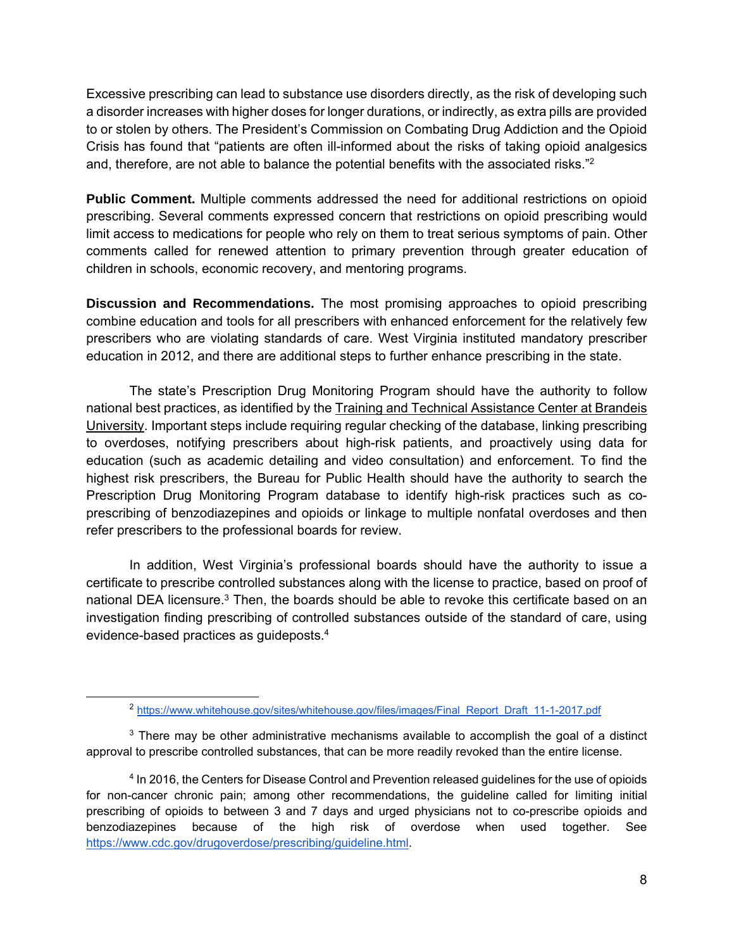Excessive prescribing can lead to substance use disorders directly, as the risk of developing such a disorder increases with higher doses for longer durations, or indirectly, as extra pills are provided to or stolen by others. The President's Commission on Combating Drug Addiction and the Opioid Crisis has found that "patients are often ill-informed about the risks of taking opioid analgesics and, therefore, are not able to balance the potential benefits with the associated risks."2

**Public Comment.** Multiple comments addressed the need for additional restrictions on opioid prescribing. Several comments expressed concern that restrictions on opioid prescribing would limit access to medications for people who rely on them to treat serious symptoms of pain. Other comments called for renewed attention to primary prevention through greater education of children in schools, economic recovery, and mentoring programs.

**Discussion and Recommendations.** The most promising approaches to opioid prescribing combine education and tools for all prescribers with enhanced enforcement for the relatively few prescribers who are violating standards of care. West Virginia instituted mandatory prescriber education in 2012, and there are additional steps to further enhance prescribing in the state.

The state's Prescription Drug Monitoring Program should have the authority to follow national best practices, as identified by the Training and Technical Assistance Center at Brandeis University. Important steps include requiring regular checking of the database, linking prescribing to overdoses, notifying prescribers about high-risk patients, and proactively using data for education (such as academic detailing and video consultation) and enforcement. To find the highest risk prescribers, the Bureau for Public Health should have the authority to search the Prescription Drug Monitoring Program database to identify high-risk practices such as coprescribing of benzodiazepines and opioids or linkage to multiple nonfatal overdoses and then refer prescribers to the professional boards for review.

In addition, West Virginia's professional boards should have the authority to issue a certificate to prescribe controlled substances along with the license to practice, based on proof of national DEA licensure.<sup>3</sup> Then, the boards should be able to revoke this certificate based on an investigation finding prescribing of controlled substances outside of the standard of care, using evidence-based practices as guideposts.4

 <sup>2</sup> https://www.whitehouse.gov/sites/whitehouse.gov/files/images/Final\_Report\_Draft\_11-1-2017.pdf

 $3$  There may be other administrative mechanisms available to accomplish the goal of a distinct approval to prescribe controlled substances, that can be more readily revoked than the entire license.

<sup>4</sup> In 2016, the Centers for Disease Control and Prevention released guidelines for the use of opioids for non-cancer chronic pain; among other recommendations, the guideline called for limiting initial prescribing of opioids to between 3 and 7 days and urged physicians not to co-prescribe opioids and benzodiazepines because of the high risk of overdose when used together. See https://www.cdc.gov/drugoverdose/prescribing/guideline.html.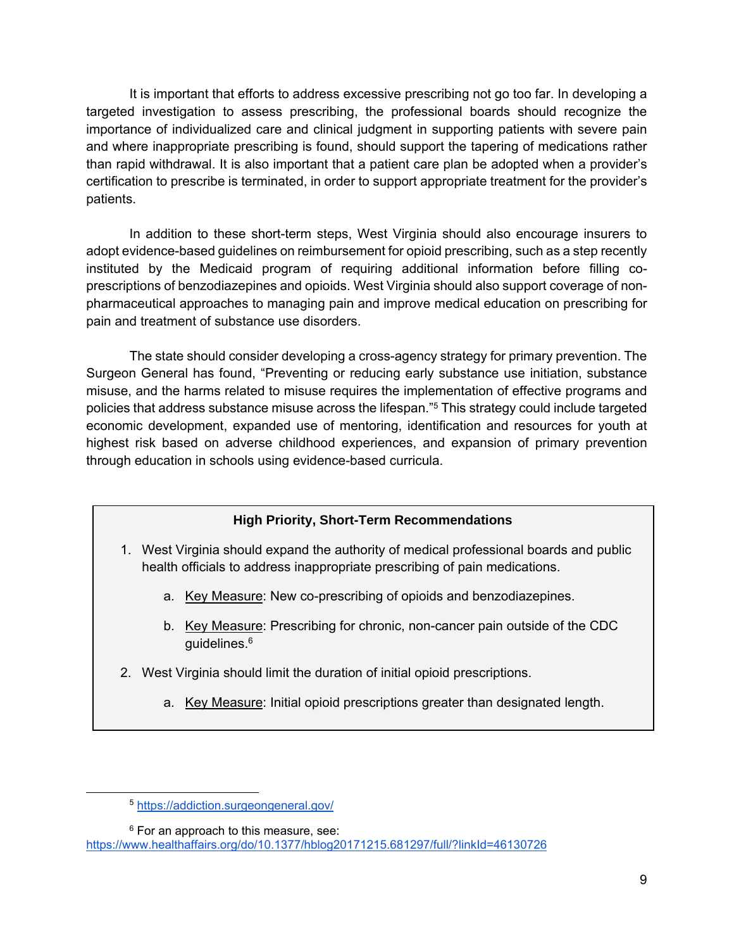It is important that efforts to address excessive prescribing not go too far. In developing a targeted investigation to assess prescribing, the professional boards should recognize the importance of individualized care and clinical judgment in supporting patients with severe pain and where inappropriate prescribing is found, should support the tapering of medications rather than rapid withdrawal. It is also important that a patient care plan be adopted when a provider's certification to prescribe is terminated, in order to support appropriate treatment for the provider's patients.

In addition to these short-term steps, West Virginia should also encourage insurers to adopt evidence-based guidelines on reimbursement for opioid prescribing, such as a step recently instituted by the Medicaid program of requiring additional information before filling coprescriptions of benzodiazepines and opioids. West Virginia should also support coverage of nonpharmaceutical approaches to managing pain and improve medical education on prescribing for pain and treatment of substance use disorders.

The state should consider developing a cross-agency strategy for primary prevention. The Surgeon General has found, "Preventing or reducing early substance use initiation, substance misuse, and the harms related to misuse requires the implementation of effective programs and policies that address substance misuse across the lifespan."5 This strategy could include targeted economic development, expanded use of mentoring, identification and resources for youth at highest risk based on adverse childhood experiences, and expansion of primary prevention through education in schools using evidence-based curricula.

#### **High Priority, Short-Term Recommendations**

- 1. West Virginia should expand the authority of medical professional boards and public health officials to address inappropriate prescribing of pain medications.
	- a. Key Measure: New co-prescribing of opioids and benzodiazepines.
	- b. Key Measure: Prescribing for chronic, non-cancer pain outside of the CDC guidelines.6
- 2. West Virginia should limit the duration of initial opioid prescriptions.
	- a. Key Measure: Initial opioid prescriptions greater than designated length.

<sup>6</sup> For an approach to this measure, see:

https://www.healthaffairs.org/do/10.1377/hblog20171215.681297/full/?linkId=46130726

 <sup>5</sup> https://addiction.surgeongeneral.gov/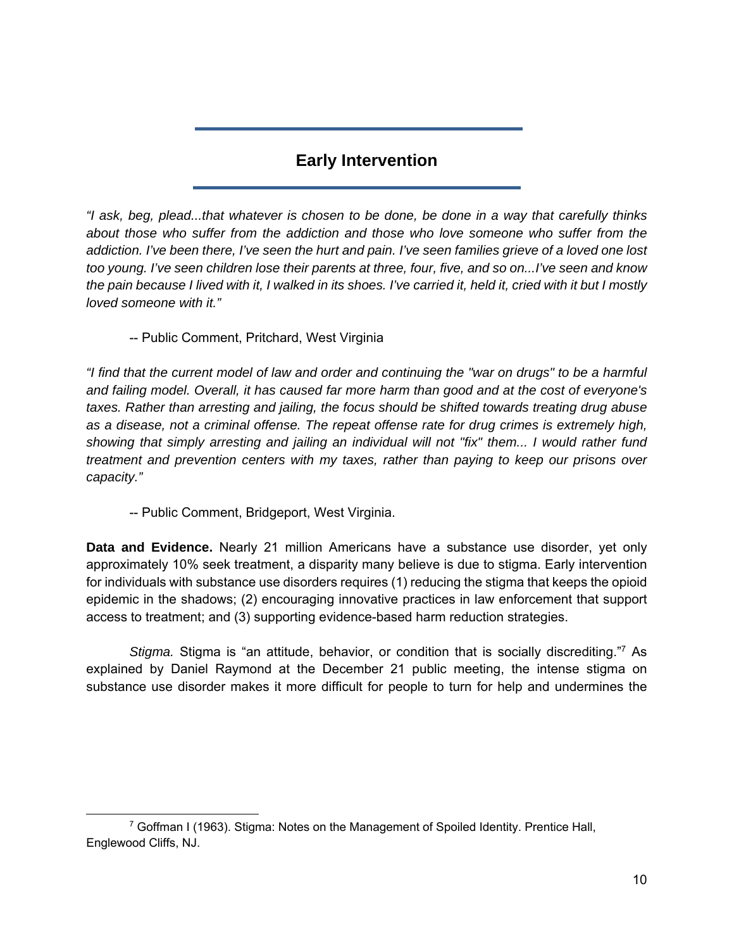## **Early Intervention**

*"I ask, beg, plead...that whatever is chosen to be done, be done in a way that carefully thinks about those who suffer from the addiction and those who love someone who suffer from the addiction. I've been there, I've seen the hurt and pain. I've seen families grieve of a loved one lost too young. I've seen children lose their parents at three, four, five, and so on...I've seen and know the pain because I lived with it, I walked in its shoes. I've carried it, held it, cried with it but I mostly loved someone with it."* 

-- Public Comment, Pritchard, West Virginia

*"I find that the current model of law and order and continuing the "war on drugs" to be a harmful and failing model. Overall, it has caused far more harm than good and at the cost of everyone's taxes. Rather than arresting and jailing, the focus should be shifted towards treating drug abuse as a disease, not a criminal offense. The repeat offense rate for drug crimes is extremely high, showing that simply arresting and jailing an individual will not "fix" them... I would rather fund treatment and prevention centers with my taxes, rather than paying to keep our prisons over capacity."* 

-- Public Comment, Bridgeport, West Virginia.

**Data and Evidence.** Nearly 21 million Americans have a substance use disorder, yet only approximately 10% seek treatment, a disparity many believe is due to stigma. Early intervention for individuals with substance use disorders requires (1) reducing the stigma that keeps the opioid epidemic in the shadows; (2) encouraging innovative practices in law enforcement that support access to treatment; and (3) supporting evidence-based harm reduction strategies.

*Stigma.* Stigma is "an attitude, behavior, or condition that is socially discrediting."7 As explained by Daniel Raymond at the December 21 public meeting, the intense stigma on substance use disorder makes it more difficult for people to turn for help and undermines the

 $7$  Goffman I (1963). Stigma: Notes on the Management of Spoiled Identity. Prentice Hall, Englewood Cliffs, NJ.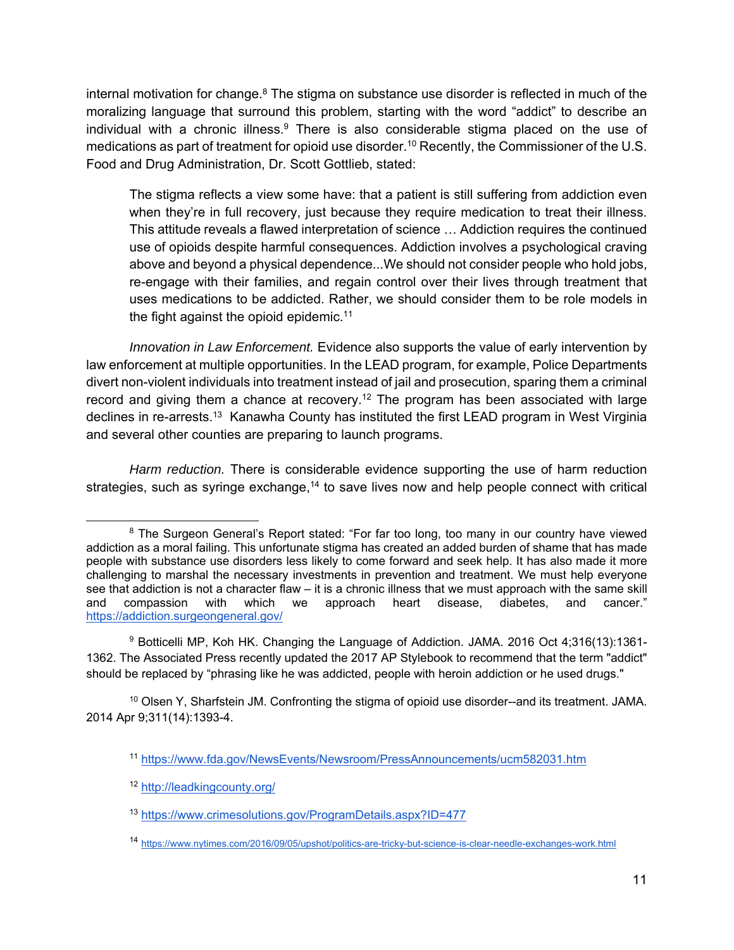internal motivation for change. $8$  The stigma on substance use disorder is reflected in much of the moralizing language that surround this problem, starting with the word "addict" to describe an individual with a chronic illness.<sup>9</sup> There is also considerable stigma placed on the use of medications as part of treatment for opioid use disorder.<sup>10</sup> Recently, the Commissioner of the U.S. Food and Drug Administration, Dr. Scott Gottlieb, stated:

The stigma reflects a view some have: that a patient is still suffering from addiction even when they're in full recovery, just because they require medication to treat their illness. This attitude reveals a flawed interpretation of science … Addiction requires the continued use of opioids despite harmful consequences. Addiction involves a psychological craving above and beyond a physical dependence...We should not consider people who hold jobs, re-engage with their families, and regain control over their lives through treatment that uses medications to be addicted. Rather, we should consider them to be role models in the fight against the opioid epidemic.<sup>11</sup>

 *Innovation in Law Enforcement.* Evidence also supports the value of early intervention by law enforcement at multiple opportunities. In the LEAD program, for example, Police Departments divert non-violent individuals into treatment instead of jail and prosecution, sparing them a criminal record and giving them a chance at recovery.<sup>12</sup> The program has been associated with large declines in re-arrests.<sup>13</sup> Kanawha County has instituted the first LEAD program in West Virginia and several other counties are preparing to launch programs.

 *Harm reduction.* There is considerable evidence supporting the use of harm reduction strategies, such as syringe exchange, $14$  to save lives now and help people connect with critical

9 Botticelli MP, Koh HK. Changing the Language of Addiction. JAMA. 2016 Oct 4;316(13):1361- 1362. The Associated Press recently updated the 2017 AP Stylebook to recommend that the term "addict" should be replaced by "phrasing like he was addicted, people with heroin addiction or he used drugs."

 $10$  Olsen Y, Sharfstein JM. Confronting the stigma of opioid use disorder--and its treatment. JAMA. 2014 Apr 9;311(14):1393-4.

<sup>&</sup>lt;sup>8</sup> The Surgeon General's Report stated: "For far too long, too many in our country have viewed addiction as a moral failing. This unfortunate stigma has created an added burden of shame that has made people with substance use disorders less likely to come forward and seek help. It has also made it more challenging to marshal the necessary investments in prevention and treatment. We must help everyone see that addiction is not a character flaw – it is a chronic illness that we must approach with the same skill and compassion with which we approach heart disease, diabetes, and cancer." https://addiction.surgeongeneral.gov/

<sup>11</sup> https://www.fda.gov/NewsEvents/Newsroom/PressAnnouncements/ucm582031.htm

<sup>12</sup> http://leadkingcounty.org/

<sup>13</sup> https://www.crimesolutions.gov/ProgramDetails.aspx?ID=477

<sup>14</sup> https://www.nytimes.com/2016/09/05/upshot/politics-are-tricky-but-science-is-clear-needle-exchanges-work.html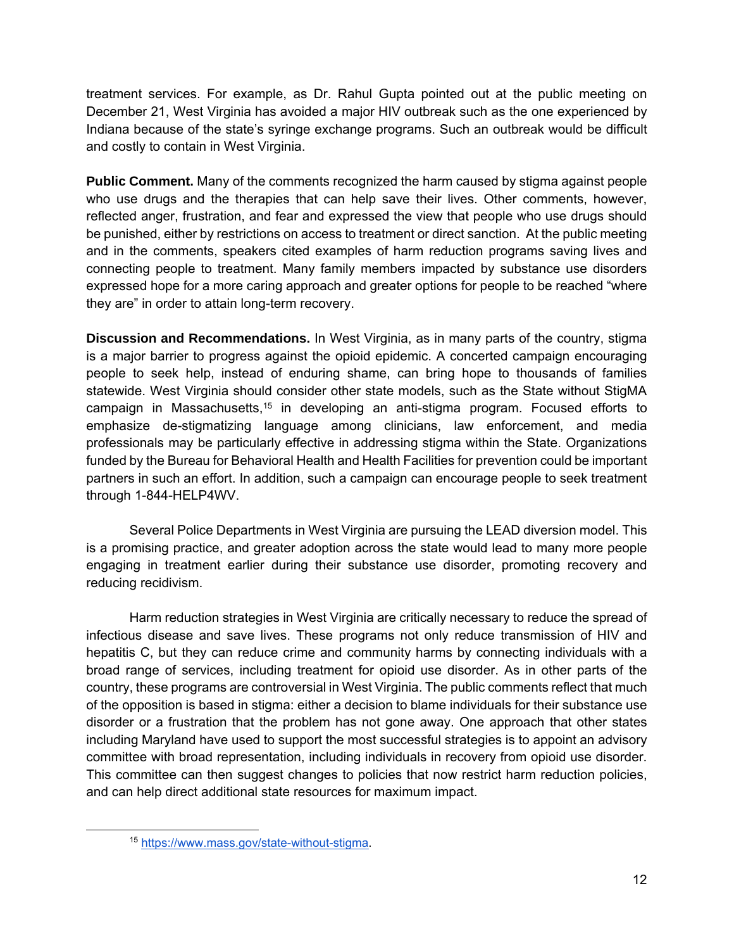treatment services. For example, as Dr. Rahul Gupta pointed out at the public meeting on December 21, West Virginia has avoided a major HIV outbreak such as the one experienced by Indiana because of the state's syringe exchange programs. Such an outbreak would be difficult and costly to contain in West Virginia.

**Public Comment.** Many of the comments recognized the harm caused by stigma against people who use drugs and the therapies that can help save their lives. Other comments, however, reflected anger, frustration, and fear and expressed the view that people who use drugs should be punished, either by restrictions on access to treatment or direct sanction. At the public meeting and in the comments, speakers cited examples of harm reduction programs saving lives and connecting people to treatment. Many family members impacted by substance use disorders expressed hope for a more caring approach and greater options for people to be reached "where they are" in order to attain long-term recovery.

**Discussion and Recommendations.** In West Virginia, as in many parts of the country, stigma is a major barrier to progress against the opioid epidemic. A concerted campaign encouraging people to seek help, instead of enduring shame, can bring hope to thousands of families statewide. West Virginia should consider other state models, such as the State without StigMA campaign in Massachusetts,<sup>15</sup> in developing an anti-stigma program. Focused efforts to emphasize de-stigmatizing language among clinicians, law enforcement, and media professionals may be particularly effective in addressing stigma within the State. Organizations funded by the Bureau for Behavioral Health and Health Facilities for prevention could be important partners in such an effort. In addition, such a campaign can encourage people to seek treatment through 1-844-HELP4WV.

 Several Police Departments in West Virginia are pursuing the LEAD diversion model. This is a promising practice, and greater adoption across the state would lead to many more people engaging in treatment earlier during their substance use disorder, promoting recovery and reducing recidivism.

 Harm reduction strategies in West Virginia are critically necessary to reduce the spread of infectious disease and save lives. These programs not only reduce transmission of HIV and hepatitis C, but they can reduce crime and community harms by connecting individuals with a broad range of services, including treatment for opioid use disorder. As in other parts of the country, these programs are controversial in West Virginia. The public comments reflect that much of the opposition is based in stigma: either a decision to blame individuals for their substance use disorder or a frustration that the problem has not gone away. One approach that other states including Maryland have used to support the most successful strategies is to appoint an advisory committee with broad representation, including individuals in recovery from opioid use disorder. This committee can then suggest changes to policies that now restrict harm reduction policies, and can help direct additional state resources for maximum impact.

 <sup>15</sup> https://www.mass.gov/state-without-stigma.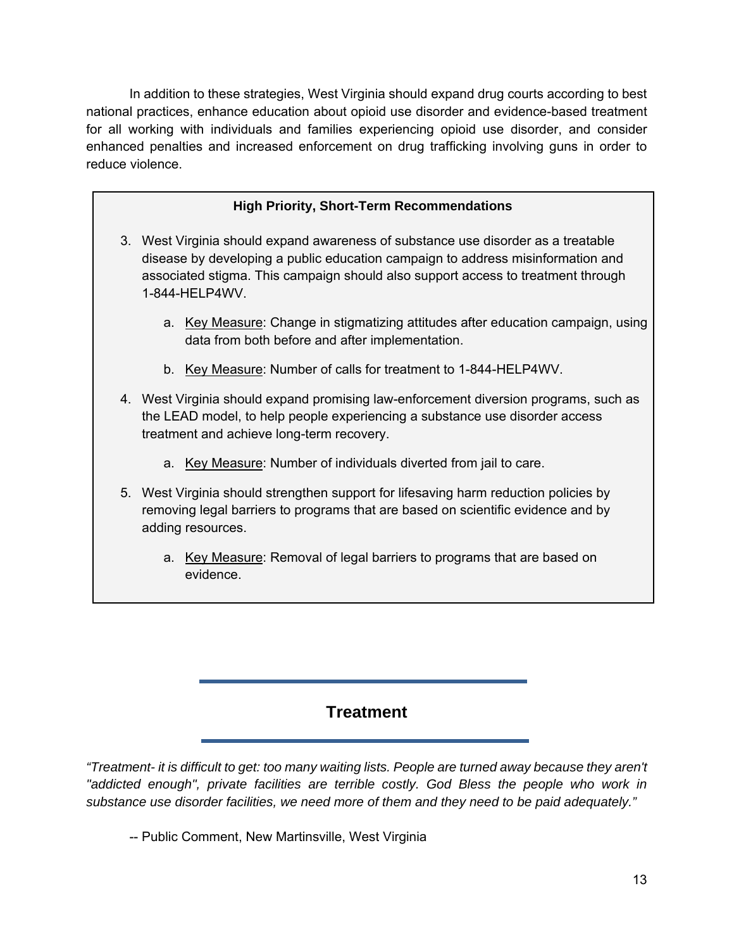In addition to these strategies, West Virginia should expand drug courts according to best national practices, enhance education about opioid use disorder and evidence-based treatment for all working with individuals and families experiencing opioid use disorder, and consider enhanced penalties and increased enforcement on drug trafficking involving guns in order to reduce violence.

#### **High Priority, Short-Term Recommendations**

- 3. West Virginia should expand awareness of substance use disorder as a treatable disease by developing a public education campaign to address misinformation and associated stigma. This campaign should also support access to treatment through 1-844-HELP4WV.
	- a. Key Measure: Change in stigmatizing attitudes after education campaign, using data from both before and after implementation.
	- b. Key Measure: Number of calls for treatment to 1-844-HELP4WV.
- 4. West Virginia should expand promising law-enforcement diversion programs, such as the LEAD model, to help people experiencing a substance use disorder access treatment and achieve long-term recovery.
	- a. Key Measure: Number of individuals diverted from jail to care.
- 5. West Virginia should strengthen support for lifesaving harm reduction policies by removing legal barriers to programs that are based on scientific evidence and by adding resources.
	- a. Key Measure: Removal of legal barriers to programs that are based on evidence.

## **Treatment**

*"Treatment- it is difficult to get: too many waiting lists. People are turned away because they aren't*  "addicted enough", private facilities are terrible costly. God Bless the people who work in *substance use disorder facilities, we need more of them and they need to be paid adequately."* 

-- Public Comment, New Martinsville, West Virginia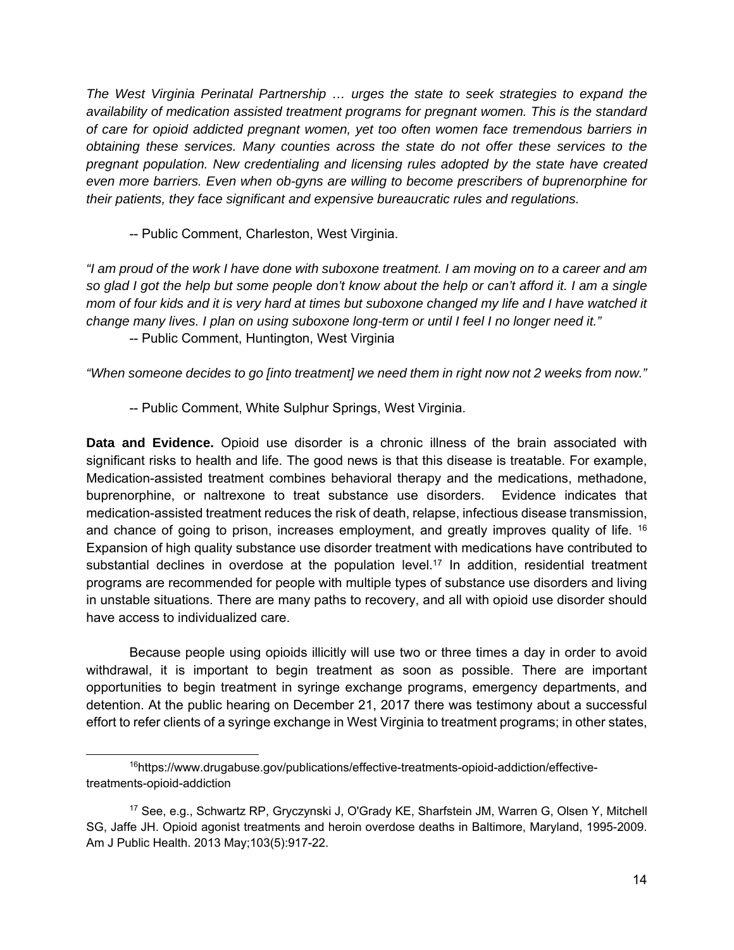*The West Virginia Perinatal Partnership … urges the state to seek strategies to expand the availability of medication assisted treatment programs for pregnant women. This is the standard of care for opioid addicted pregnant women, yet too often women face tremendous barriers in obtaining these services. Many counties across the state do not offer these services to the pregnant population. New credentialing and licensing rules adopted by the state have created even more barriers. Even when ob-gyns are willing to become prescribers of buprenorphine for their patients, they face significant and expensive bureaucratic rules and regulations.* 

-- Public Comment, Charleston, West Virginia.

*"I am proud of the work I have done with suboxone treatment. I am moving on to a career and am so glad I got the help but some people don't know about the help or can't afford it. I am a single mom of four kids and it is very hard at times but suboxone changed my life and I have watched it change many lives. I plan on using suboxone long-term or until I feel I no longer need it."* 

-- Public Comment, Huntington, West Virginia

*"When someone decides to go [into treatment] we need them in right now not 2 weeks from now."* 

-- Public Comment, White Sulphur Springs, West Virginia.

**Data and Evidence.** Opioid use disorder is a chronic illness of the brain associated with significant risks to health and life. The good news is that this disease is treatable. For example, Medication-assisted treatment combines behavioral therapy and the medications, methadone, buprenorphine, or naltrexone to treat substance use disorders. Evidence indicates that medication-assisted treatment reduces the risk of death, relapse, infectious disease transmission, and chance of going to prison, increases employment, and greatly improves quality of life. <sup>16</sup> Expansion of high quality substance use disorder treatment with medications have contributed to substantial declines in overdose at the population level.<sup>17</sup> In addition, residential treatment programs are recommended for people with multiple types of substance use disorders and living in unstable situations. There are many paths to recovery, and all with opioid use disorder should have access to individualized care.

Because people using opioids illicitly will use two or three times a day in order to avoid withdrawal, it is important to begin treatment as soon as possible. There are important opportunities to begin treatment in syringe exchange programs, emergency departments, and detention. At the public hearing on December 21, 2017 there was testimony about a successful effort to refer clients of a syringe exchange in West Virginia to treatment programs; in other states,

 <sup>16</sup>https://www.drugabuse.gov/publications/effective-treatments-opioid-addiction/effectivetreatments-opioid-addiction

<sup>17</sup> See, e.g., Schwartz RP, Gryczynski J, O'Grady KE, Sharfstein JM, Warren G, Olsen Y, Mitchell SG, Jaffe JH. Opioid agonist treatments and heroin overdose deaths in Baltimore, Maryland, 1995-2009. Am J Public Health. 2013 May;103(5):917-22.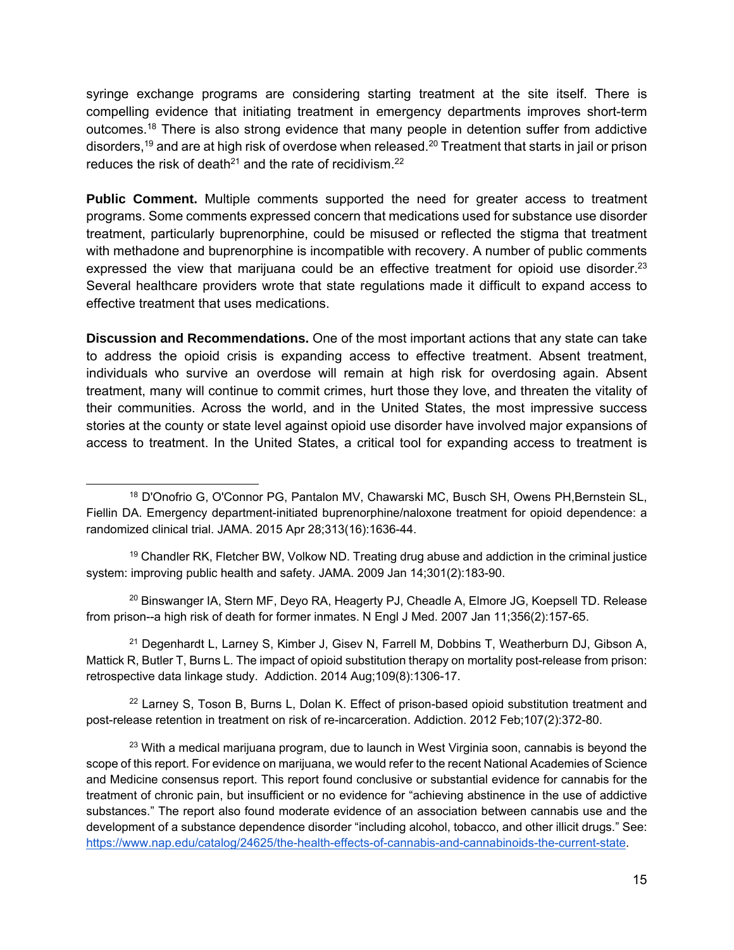syringe exchange programs are considering starting treatment at the site itself. There is compelling evidence that initiating treatment in emergency departments improves short-term outcomes.18 There is also strong evidence that many people in detention suffer from addictive disorders,19 and are at high risk of overdose when released.20 Treatment that starts in jail or prison reduces the risk of death<sup>21</sup> and the rate of recidivism.<sup>22</sup>

**Public Comment.** Multiple comments supported the need for greater access to treatment programs. Some comments expressed concern that medications used for substance use disorder treatment, particularly buprenorphine, could be misused or reflected the stigma that treatment with methadone and buprenorphine is incompatible with recovery. A number of public comments expressed the view that marijuana could be an effective treatment for opioid use disorder.<sup>23</sup> Several healthcare providers wrote that state regulations made it difficult to expand access to effective treatment that uses medications.

**Discussion and Recommendations.** One of the most important actions that any state can take to address the opioid crisis is expanding access to effective treatment. Absent treatment, individuals who survive an overdose will remain at high risk for overdosing again. Absent treatment, many will continue to commit crimes, hurt those they love, and threaten the vitality of their communities. Across the world, and in the United States, the most impressive success stories at the county or state level against opioid use disorder have involved major expansions of access to treatment. In the United States, a critical tool for expanding access to treatment is

<sup>19</sup> Chandler RK, Fletcher BW, Volkow ND. Treating drug abuse and addiction in the criminal justice system: improving public health and safety. JAMA. 2009 Jan 14;301(2):183-90.

<sup>20</sup> Binswanger IA, Stern MF, Deyo RA, Heagerty PJ, Cheadle A, Elmore JG, Koepsell TD. Release from prison--a high risk of death for former inmates. N Engl J Med. 2007 Jan 11;356(2):157-65.

 $21$  Degenhardt L, Larney S, Kimber J, Gisev N, Farrell M, Dobbins T, Weatherburn DJ, Gibson A, Mattick R, Butler T, Burns L. The impact of opioid substitution therapy on mortality post-release from prison: retrospective data linkage study. Addiction. 2014 Aug;109(8):1306-17.

 $22$  Larney S, Toson B, Burns L, Dolan K. Effect of prison-based opioid substitution treatment and post-release retention in treatment on risk of re-incarceration. Addiction. 2012 Feb;107(2):372-80.

 $23$  With a medical marijuana program, due to launch in West Virginia soon, cannabis is beyond the scope of this report. For evidence on marijuana, we would refer to the recent National Academies of Science and Medicine consensus report. This report found conclusive or substantial evidence for cannabis for the treatment of chronic pain, but insufficient or no evidence for "achieving abstinence in the use of addictive substances." The report also found moderate evidence of an association between cannabis use and the development of a substance dependence disorder "including alcohol, tobacco, and other illicit drugs." See: https://www.nap.edu/catalog/24625/the-health-effects-of-cannabis-and-cannabinoids-the-current-state.

 <sup>18</sup> D'Onofrio G, O'Connor PG, Pantalon MV, Chawarski MC, Busch SH, Owens PH,Bernstein SL, Fiellin DA. Emergency department-initiated buprenorphine/naloxone treatment for opioid dependence: a randomized clinical trial. JAMA. 2015 Apr 28;313(16):1636-44.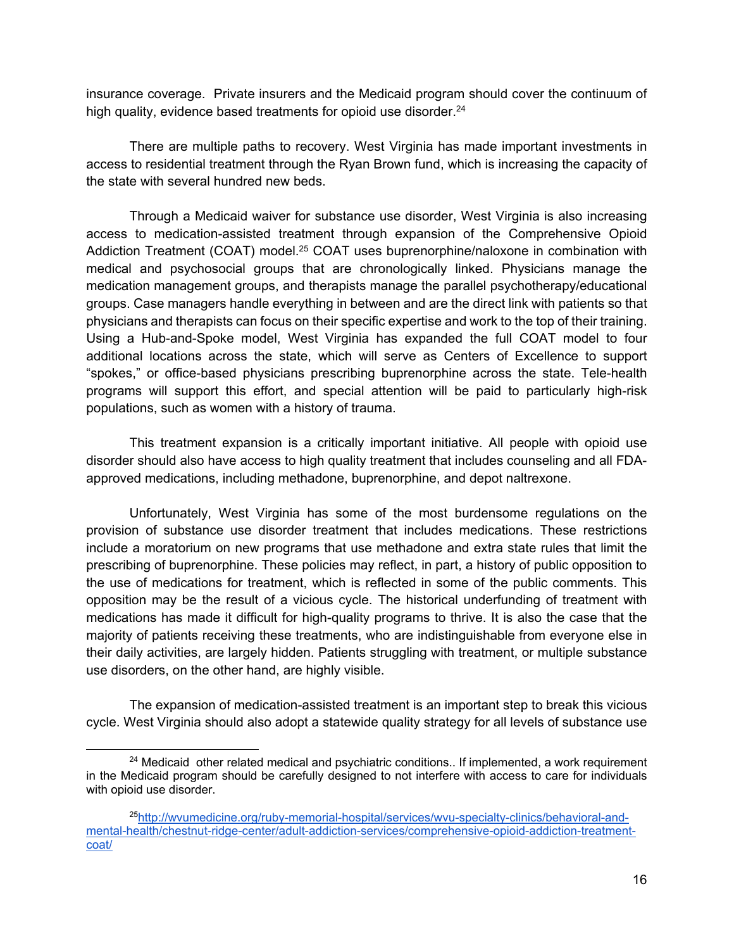insurance coverage. Private insurers and the Medicaid program should cover the continuum of high quality, evidence based treatments for opioid use disorder.<sup>24</sup>

There are multiple paths to recovery. West Virginia has made important investments in access to residential treatment through the Ryan Brown fund, which is increasing the capacity of the state with several hundred new beds.

Through a Medicaid waiver for substance use disorder, West Virginia is also increasing access to medication-assisted treatment through expansion of the Comprehensive Opioid Addiction Treatment (COAT) model.<sup>25</sup> COAT uses buprenorphine/naloxone in combination with medical and psychosocial groups that are chronologically linked. Physicians manage the medication management groups, and therapists manage the parallel psychotherapy/educational groups. Case managers handle everything in between and are the direct link with patients so that physicians and therapists can focus on their specific expertise and work to the top of their training. Using a Hub-and-Spoke model, West Virginia has expanded the full COAT model to four additional locations across the state, which will serve as Centers of Excellence to support "spokes," or office-based physicians prescribing buprenorphine across the state. Tele-health programs will support this effort, and special attention will be paid to particularly high-risk populations, such as women with a history of trauma.

This treatment expansion is a critically important initiative. All people with opioid use disorder should also have access to high quality treatment that includes counseling and all FDAapproved medications, including methadone, buprenorphine, and depot naltrexone.

Unfortunately, West Virginia has some of the most burdensome regulations on the provision of substance use disorder treatment that includes medications. These restrictions include a moratorium on new programs that use methadone and extra state rules that limit the prescribing of buprenorphine. These policies may reflect, in part, a history of public opposition to the use of medications for treatment, which is reflected in some of the public comments. This opposition may be the result of a vicious cycle. The historical underfunding of treatment with medications has made it difficult for high-quality programs to thrive. It is also the case that the majority of patients receiving these treatments, who are indistinguishable from everyone else in their daily activities, are largely hidden. Patients struggling with treatment, or multiple substance use disorders, on the other hand, are highly visible.

The expansion of medication-assisted treatment is an important step to break this vicious cycle. West Virginia should also adopt a statewide quality strategy for all levels of substance use

 $24$  Medicaid other related medical and psychiatric conditions.. If implemented, a work requirement in the Medicaid program should be carefully designed to not interfere with access to care for individuals with opioid use disorder.

<sup>25</sup>http://wvumedicine.org/ruby-memorial-hospital/services/wvu-specialty-clinics/behavioral-andmental-health/chestnut-ridge-center/adult-addiction-services/comprehensive-opioid-addiction-treatmentcoat/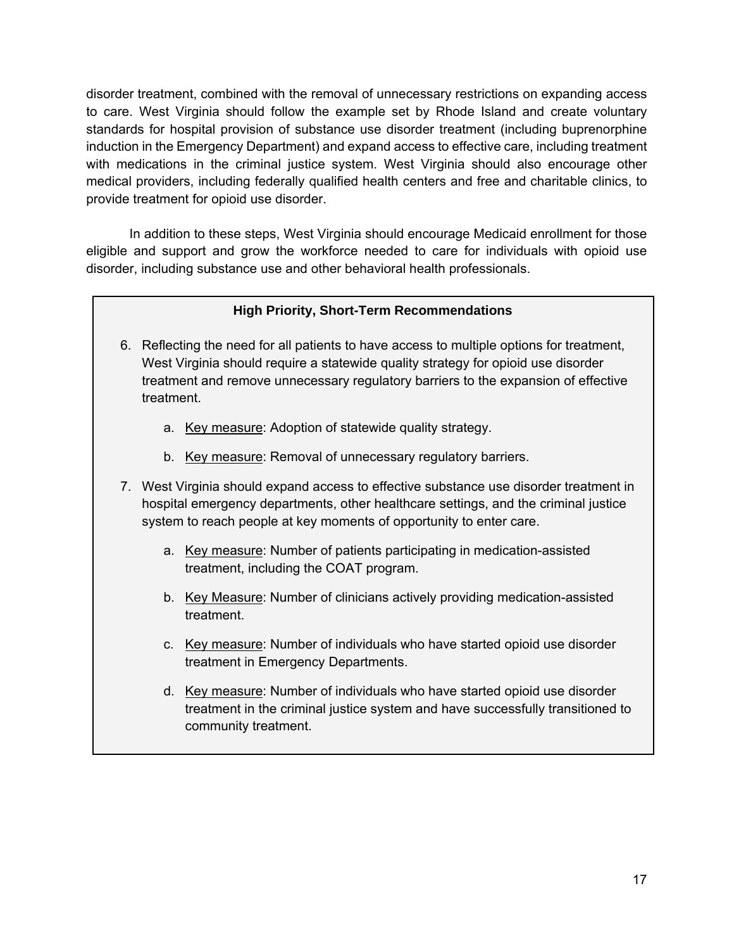disorder treatment, combined with the removal of unnecessary restrictions on expanding access to care. West Virginia should follow the example set by Rhode Island and create voluntary standards for hospital provision of substance use disorder treatment (including buprenorphine induction in the Emergency Department) and expand access to effective care, including treatment with medications in the criminal justice system. West Virginia should also encourage other medical providers, including federally qualified health centers and free and charitable clinics, to provide treatment for opioid use disorder.

In addition to these steps, West Virginia should encourage Medicaid enrollment for those eligible and support and grow the workforce needed to care for individuals with opioid use disorder, including substance use and other behavioral health professionals.

#### **High Priority, Short-Term Recommendations**

- 6. Reflecting the need for all patients to have access to multiple options for treatment, West Virginia should require a statewide quality strategy for opioid use disorder treatment and remove unnecessary regulatory barriers to the expansion of effective treatment.
	- a. Key measure: Adoption of statewide quality strategy.
	- b. Key measure: Removal of unnecessary regulatory barriers.
- 7. West Virginia should expand access to effective substance use disorder treatment in hospital emergency departments, other healthcare settings, and the criminal justice system to reach people at key moments of opportunity to enter care.
	- a. Key measure: Number of patients participating in medication-assisted treatment, including the COAT program.
	- b. Key Measure: Number of clinicians actively providing medication-assisted treatment.
	- c. Key measure: Number of individuals who have started opioid use disorder treatment in Emergency Departments.
	- d. Key measure: Number of individuals who have started opioid use disorder treatment in the criminal justice system and have successfully transitioned to community treatment.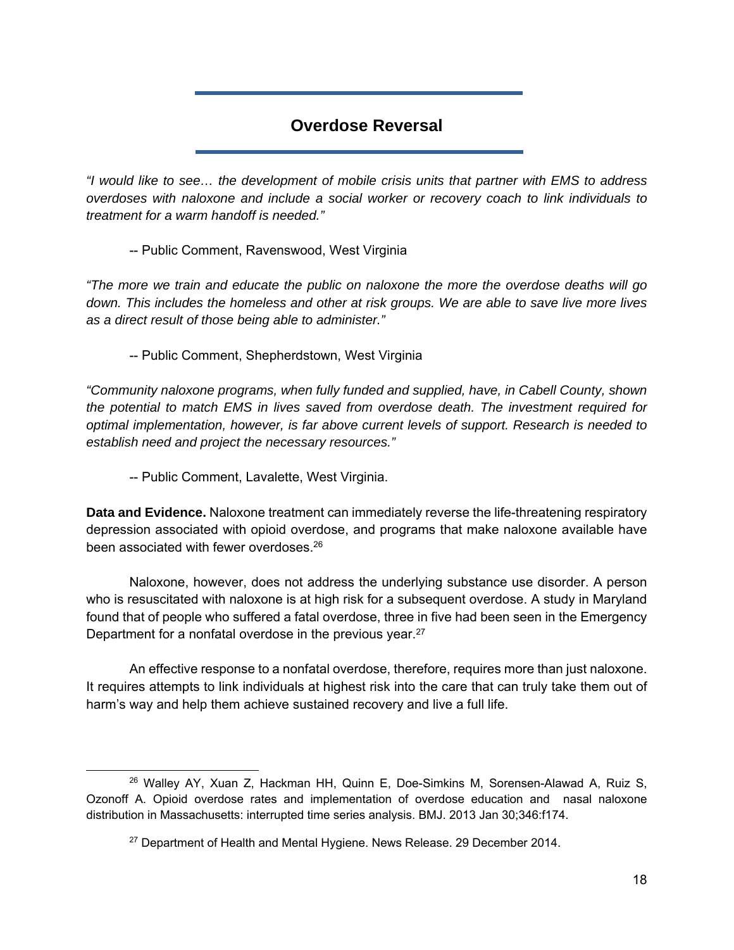## **Overdose Reversal**

*"I would like to see… the development of mobile crisis units that partner with EMS to address overdoses with naloxone and include a social worker or recovery coach to link individuals to treatment for a warm handoff is needed."* 

-- Public Comment, Ravenswood, West Virginia

*"The more we train and educate the public on naloxone the more the overdose deaths will go down. This includes the homeless and other at risk groups. We are able to save live more lives as a direct result of those being able to administer."* 

-- Public Comment, Shepherdstown, West Virginia

*"Community naloxone programs, when fully funded and supplied, have, in Cabell County, shown the potential to match EMS in lives saved from overdose death. The investment required for optimal implementation, however, is far above current levels of support. Research is needed to establish need and project the necessary resources."* 

-- Public Comment, Lavalette, West Virginia.

**Data and Evidence.** Naloxone treatment can immediately reverse the life-threatening respiratory depression associated with opioid overdose, and programs that make naloxone available have been associated with fewer overdoses.<sup>26</sup>

 Naloxone, however, does not address the underlying substance use disorder. A person who is resuscitated with naloxone is at high risk for a subsequent overdose. A study in Maryland found that of people who suffered a fatal overdose, three in five had been seen in the Emergency Department for a nonfatal overdose in the previous year.<sup>27</sup>

 An effective response to a nonfatal overdose, therefore, requires more than just naloxone. It requires attempts to link individuals at highest risk into the care that can truly take them out of harm's way and help them achieve sustained recovery and live a full life.

 $26$  Walley AY, Xuan Z, Hackman HH, Quinn E, Doe-Simkins M, Sorensen-Alawad A, Ruiz S, Ozonoff A. Opioid overdose rates and implementation of overdose education and nasal naloxone distribution in Massachusetts: interrupted time series analysis. BMJ. 2013 Jan 30;346:f174.

<sup>&</sup>lt;sup>27</sup> Department of Health and Mental Hygiene. News Release. 29 December 2014.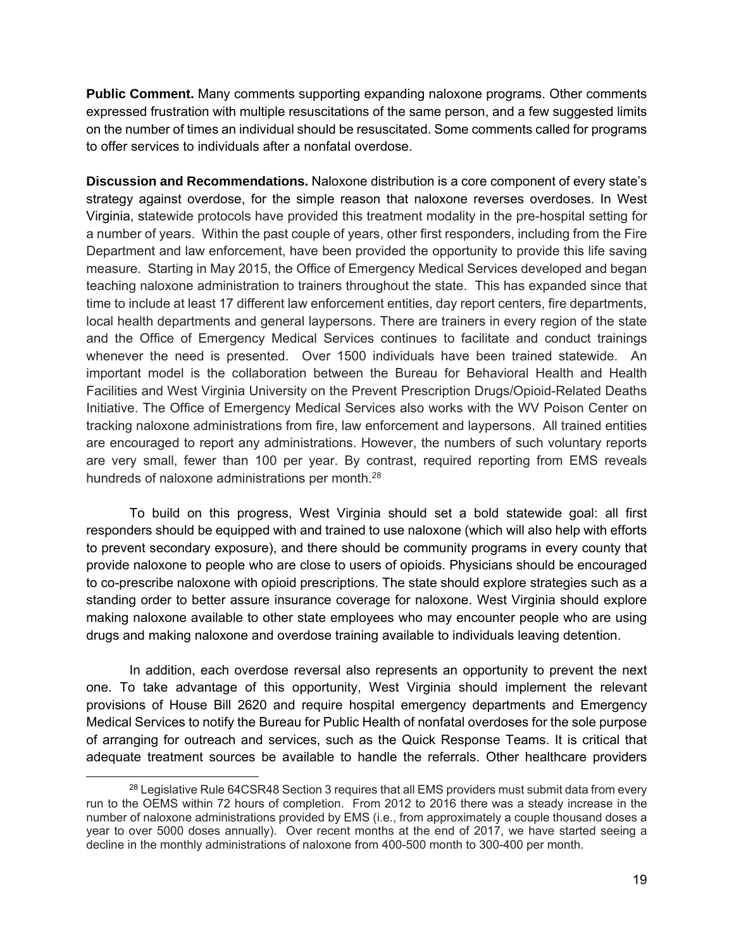**Public Comment.** Many comments supporting expanding naloxone programs. Other comments expressed frustration with multiple resuscitations of the same person, and a few suggested limits on the number of times an individual should be resuscitated. Some comments called for programs to offer services to individuals after a nonfatal overdose.

**Discussion and Recommendations.** Naloxone distribution is a core component of every state's strategy against overdose, for the simple reason that naloxone reverses overdoses. In West Virginia, statewide protocols have provided this treatment modality in the pre-hospital setting for a number of years. Within the past couple of years, other first responders, including from the Fire Department and law enforcement, have been provided the opportunity to provide this life saving measure. Starting in May 2015, the Office of Emergency Medical Services developed and began teaching naloxone administration to trainers throughout the state. This has expanded since that time to include at least 17 different law enforcement entities, day report centers, fire departments, local health departments and general laypersons. There are trainers in every region of the state and the Office of Emergency Medical Services continues to facilitate and conduct trainings whenever the need is presented. Over 1500 individuals have been trained statewide. An important model is the collaboration between the Bureau for Behavioral Health and Health Facilities and West Virginia University on the Prevent Prescription Drugs/Opioid-Related Deaths Initiative. The Office of Emergency Medical Services also works with the WV Poison Center on tracking naloxone administrations from fire, law enforcement and laypersons. All trained entities are encouraged to report any administrations. However, the numbers of such voluntary reports are very small, fewer than 100 per year. By contrast, required reporting from EMS reveals hundreds of naloxone administrations per month.<sup>28</sup>

To build on this progress, West Virginia should set a bold statewide goal: all first responders should be equipped with and trained to use naloxone (which will also help with efforts to prevent secondary exposure), and there should be community programs in every county that provide naloxone to people who are close to users of opioids. Physicians should be encouraged to co-prescribe naloxone with opioid prescriptions. The state should explore strategies such as a standing order to better assure insurance coverage for naloxone. West Virginia should explore making naloxone available to other state employees who may encounter people who are using drugs and making naloxone and overdose training available to individuals leaving detention.

In addition, each overdose reversal also represents an opportunity to prevent the next one. To take advantage of this opportunity, West Virginia should implement the relevant provisions of House Bill 2620 and require hospital emergency departments and Emergency Medical Services to notify the Bureau for Public Health of nonfatal overdoses for the sole purpose of arranging for outreach and services, such as the Quick Response Teams. It is critical that adequate treatment sources be available to handle the referrals. Other healthcare providers

<sup>&</sup>lt;sup>28</sup> Legislative Rule 64CSR48 Section 3 requires that all EMS providers must submit data from every run to the OEMS within 72 hours of completion. From 2012 to 2016 there was a steady increase in the number of naloxone administrations provided by EMS (i.e., from approximately a couple thousand doses a year to over 5000 doses annually). Over recent months at the end of 2017, we have started seeing a decline in the monthly administrations of naloxone from 400-500 month to 300-400 per month.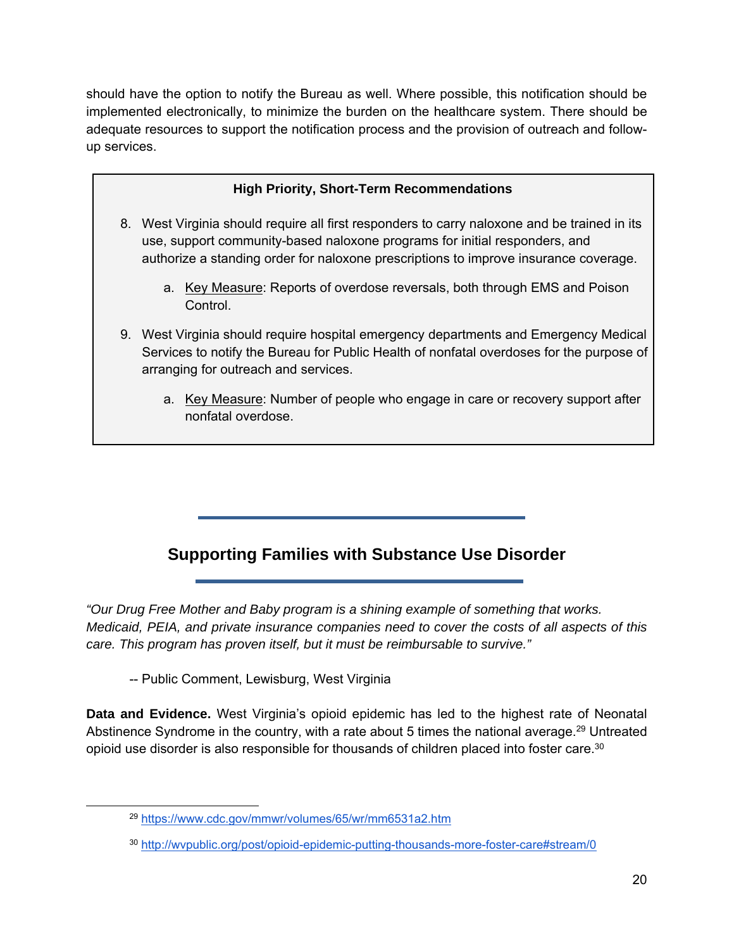should have the option to notify the Bureau as well. Where possible, this notification should be implemented electronically, to minimize the burden on the healthcare system. There should be adequate resources to support the notification process and the provision of outreach and followup services.

## **High Priority, Short-Term Recommendations**

- 8. West Virginia should require all first responders to carry naloxone and be trained in its use, support community-based naloxone programs for initial responders, and authorize a standing order for naloxone prescriptions to improve insurance coverage.
	- a. Key Measure: Reports of overdose reversals, both through EMS and Poison Control.
- 9. West Virginia should require hospital emergency departments and Emergency Medical Services to notify the Bureau for Public Health of nonfatal overdoses for the purpose of arranging for outreach and services.
	- a. Key Measure: Number of people who engage in care or recovery support after nonfatal overdose.

# **Supporting Families with Substance Use Disorder**

*"Our Drug Free Mother and Baby program is a shining example of something that works. Medicaid, PEIA, and private insurance companies need to cover the costs of all aspects of this care. This program has proven itself, but it must be reimbursable to survive."* 

-- Public Comment, Lewisburg, West Virginia

**Data and Evidence.** West Virginia's opioid epidemic has led to the highest rate of Neonatal Abstinence Syndrome in the country, with a rate about 5 times the national average.<sup>29</sup> Untreated opioid use disorder is also responsible for thousands of children placed into foster care.30

 <sup>29</sup> https://www.cdc.gov/mmwr/volumes/65/wr/mm6531a2.htm

<sup>30</sup> http://wvpublic.org/post/opioid-epidemic-putting-thousands-more-foster-care#stream/0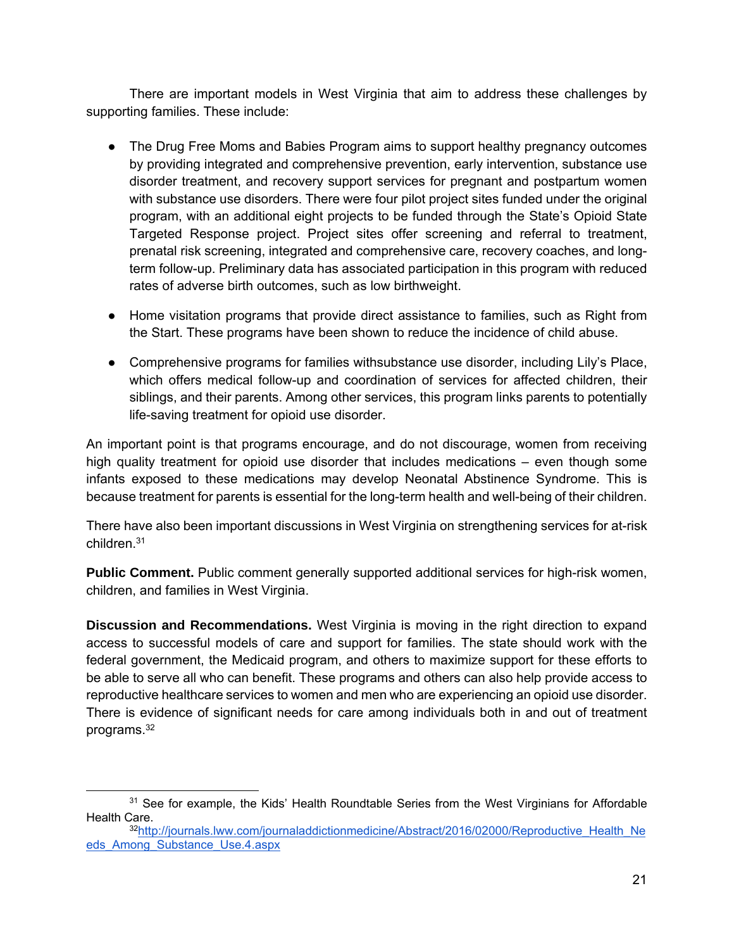There are important models in West Virginia that aim to address these challenges by supporting families. These include:

- The Drug Free Moms and Babies Program aims to support healthy pregnancy outcomes by providing integrated and comprehensive prevention, early intervention, substance use disorder treatment, and recovery support services for pregnant and postpartum women with substance use disorders. There were four pilot project sites funded under the original program, with an additional eight projects to be funded through the State's Opioid State Targeted Response project. Project sites offer screening and referral to treatment, prenatal risk screening, integrated and comprehensive care, recovery coaches, and longterm follow-up. Preliminary data has associated participation in this program with reduced rates of adverse birth outcomes, such as low birthweight.
- Home visitation programs that provide direct assistance to families, such as Right from the Start. These programs have been shown to reduce the incidence of child abuse.
- Comprehensive programs for families withsubstance use disorder, including Lily's Place, which offers medical follow-up and coordination of services for affected children, their siblings, and their parents. Among other services, this program links parents to potentially life-saving treatment for opioid use disorder.

An important point is that programs encourage, and do not discourage, women from receiving high quality treatment for opioid use disorder that includes medications – even though some infants exposed to these medications may develop Neonatal Abstinence Syndrome. This is because treatment for parents is essential for the long-term health and well-being of their children.

There have also been important discussions in West Virginia on strengthening services for at-risk children.31

**Public Comment.** Public comment generally supported additional services for high-risk women, children, and families in West Virginia.

**Discussion and Recommendations.** West Virginia is moving in the right direction to expand access to successful models of care and support for families. The state should work with the federal government, the Medicaid program, and others to maximize support for these efforts to be able to serve all who can benefit. These programs and others can also help provide access to reproductive healthcare services to women and men who are experiencing an opioid use disorder. There is evidence of significant needs for care among individuals both in and out of treatment programs.32

 $31$  See for example, the Kids' Health Roundtable Series from the West Virginians for Affordable Health Care.

<sup>&</sup>lt;sup>32</sup>http://journals.lww.com/journaladdictionmedicine/Abstract/2016/02000/Reproductive\_Health\_Ne eds\_Among\_Substance\_Use.4.aspx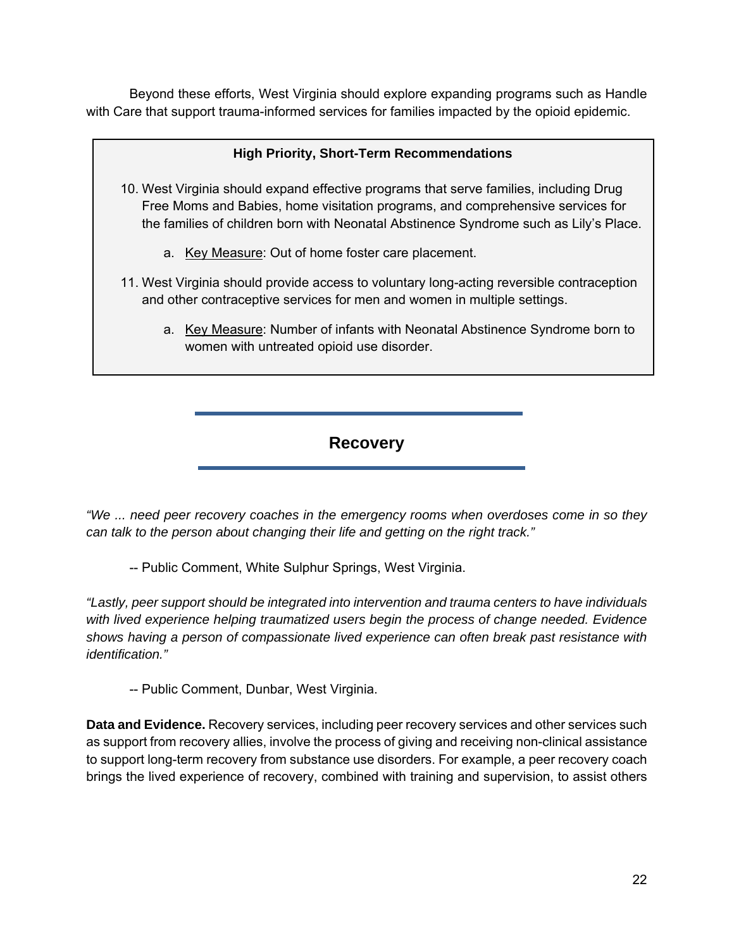Beyond these efforts, West Virginia should explore expanding programs such as Handle with Care that support trauma-informed services for families impacted by the opioid epidemic.

#### **High Priority, Short-Term Recommendations**

- 10. West Virginia should expand effective programs that serve families, including Drug Free Moms and Babies, home visitation programs, and comprehensive services for the families of children born with Neonatal Abstinence Syndrome such as Lily's Place.
	- a. Key Measure: Out of home foster care placement.
- 11. West Virginia should provide access to voluntary long-acting reversible contraception and other contraceptive services for men and women in multiple settings.
	- a. Key Measure: Number of infants with Neonatal Abstinence Syndrome born to women with untreated opioid use disorder.

#### **Recovery**

*"We ... need peer recovery coaches in the emergency rooms when overdoses come in so they can talk to the person about changing their life and getting on the right track."* 

-- Public Comment, White Sulphur Springs, West Virginia.

*"Lastly, peer support should be integrated into intervention and trauma centers to have individuals with lived experience helping traumatized users begin the process of change needed. Evidence shows having a person of compassionate lived experience can often break past resistance with identification."* 

-- Public Comment, Dunbar, West Virginia.

**Data and Evidence.** Recovery services, including peer recovery services and other services such as support from recovery allies, involve the process of giving and receiving non-clinical assistance to support long-term recovery from substance use disorders. For example, a peer recovery coach brings the lived experience of recovery, combined with training and supervision, to assist others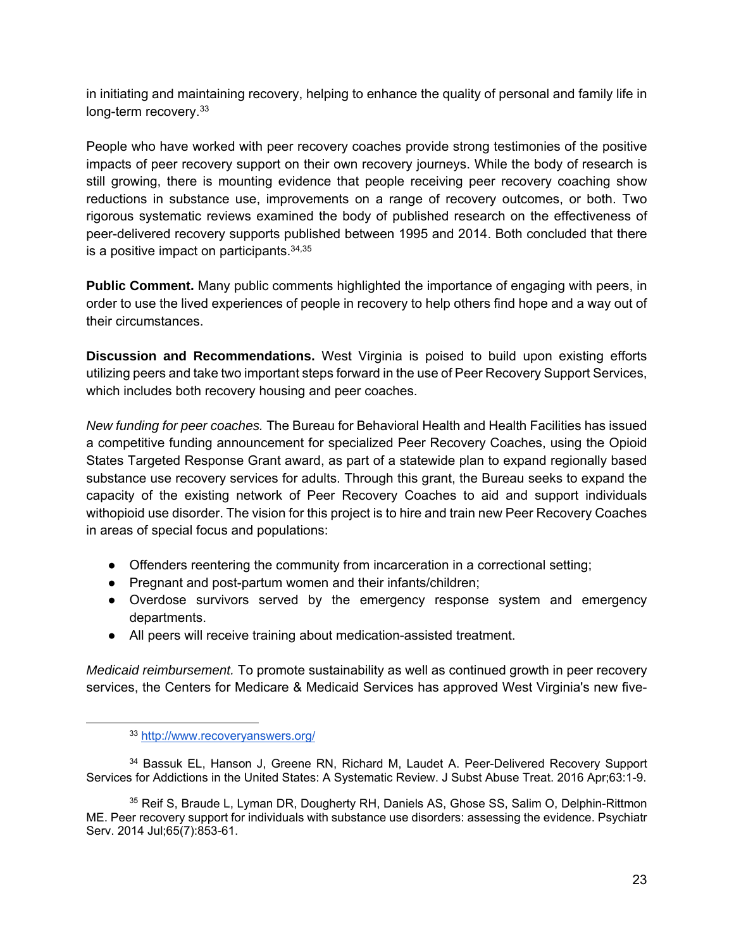in initiating and maintaining recovery, helping to enhance the quality of personal and family life in long-term recovery.<sup>33</sup>

People who have worked with peer recovery coaches provide strong testimonies of the positive impacts of peer recovery support on their own recovery journeys. While the body of research is still growing, there is mounting evidence that people receiving peer recovery coaching show reductions in substance use, improvements on a range of recovery outcomes, or both. Two rigorous systematic reviews examined the body of published research on the effectiveness of peer-delivered recovery supports published between 1995 and 2014. Both concluded that there is a positive impact on participants.  $34,35$ 

**Public Comment.** Many public comments highlighted the importance of engaging with peers, in order to use the lived experiences of people in recovery to help others find hope and a way out of their circumstances.

**Discussion and Recommendations.** West Virginia is poised to build upon existing efforts utilizing peers and take two important steps forward in the use of Peer Recovery Support Services, which includes both recovery housing and peer coaches.

*New funding for peer coaches.* The Bureau for Behavioral Health and Health Facilities has issued a competitive funding announcement for specialized Peer Recovery Coaches, using the Opioid States Targeted Response Grant award, as part of a statewide plan to expand regionally based substance use recovery services for adults. Through this grant, the Bureau seeks to expand the capacity of the existing network of Peer Recovery Coaches to aid and support individuals withopioid use disorder. The vision for this project is to hire and train new Peer Recovery Coaches in areas of special focus and populations:

- Offenders reentering the community from incarceration in a correctional setting;
- Pregnant and post-partum women and their infants/children;
- Overdose survivors served by the emergency response system and emergency departments.
- All peers will receive training about medication-assisted treatment.

*Medicaid reimbursement.* To promote sustainability as well as continued growth in peer recovery services, the Centers for Medicare & Medicaid Services has approved West Virginia's new five-

 <sup>33</sup> http://www.recoveryanswers.org/

<sup>&</sup>lt;sup>34</sup> Bassuk EL, Hanson J, Greene RN, Richard M, Laudet A. Peer-Delivered Recovery Support Services for Addictions in the United States: A Systematic Review. J Subst Abuse Treat. 2016 Apr;63:1-9.

<sup>35</sup> Reif S, Braude L, Lyman DR, Dougherty RH, Daniels AS, Ghose SS, Salim O, Delphin-Rittmon ME. Peer recovery support for individuals with substance use disorders: assessing the evidence. Psychiatr Serv. 2014 Jul;65(7):853-61.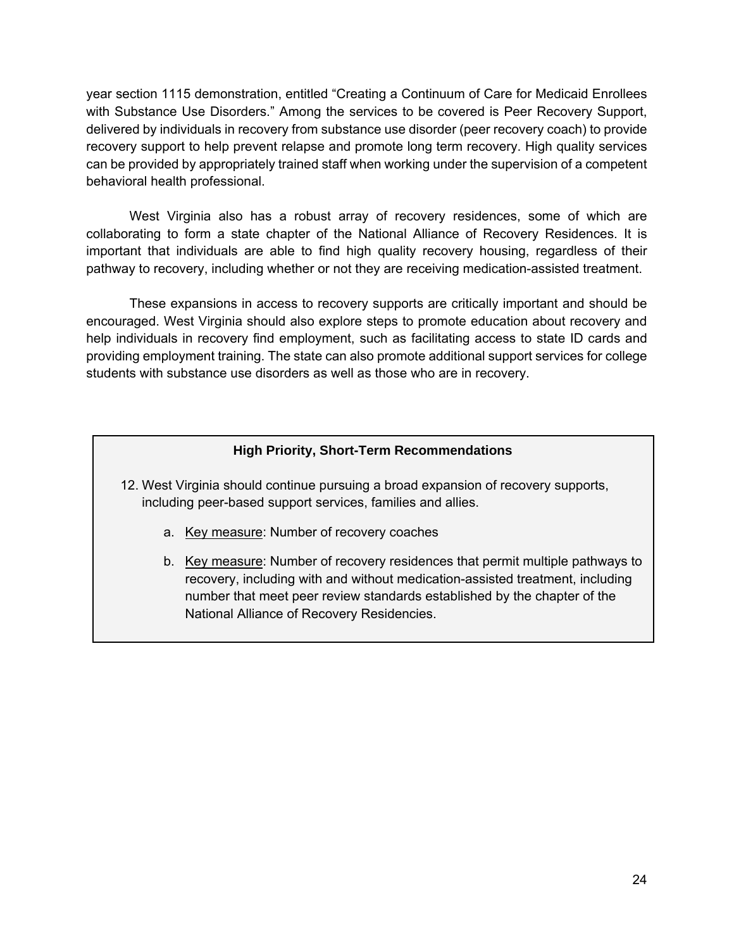year section 1115 demonstration, entitled "Creating a Continuum of Care for Medicaid Enrollees with Substance Use Disorders." Among the services to be covered is Peer Recovery Support, delivered by individuals in recovery from substance use disorder (peer recovery coach) to provide recovery support to help prevent relapse and promote long term recovery. High quality services can be provided by appropriately trained staff when working under the supervision of a competent behavioral health professional.

West Virginia also has a robust array of recovery residences, some of which are collaborating to form a state chapter of the National Alliance of Recovery Residences. It is important that individuals are able to find high quality recovery housing, regardless of their pathway to recovery, including whether or not they are receiving medication-assisted treatment.

These expansions in access to recovery supports are critically important and should be encouraged. West Virginia should also explore steps to promote education about recovery and help individuals in recovery find employment, such as facilitating access to state ID cards and providing employment training. The state can also promote additional support services for college students with substance use disorders as well as those who are in recovery.

#### **High Priority, Short-Term Recommendations**

- 12. West Virginia should continue pursuing a broad expansion of recovery supports, including peer-based support services, families and allies.
	- a. Key measure: Number of recovery coaches
	- b. Key measure: Number of recovery residences that permit multiple pathways to recovery, including with and without medication-assisted treatment, including number that meet peer review standards established by the chapter of the National Alliance of Recovery Residencies.